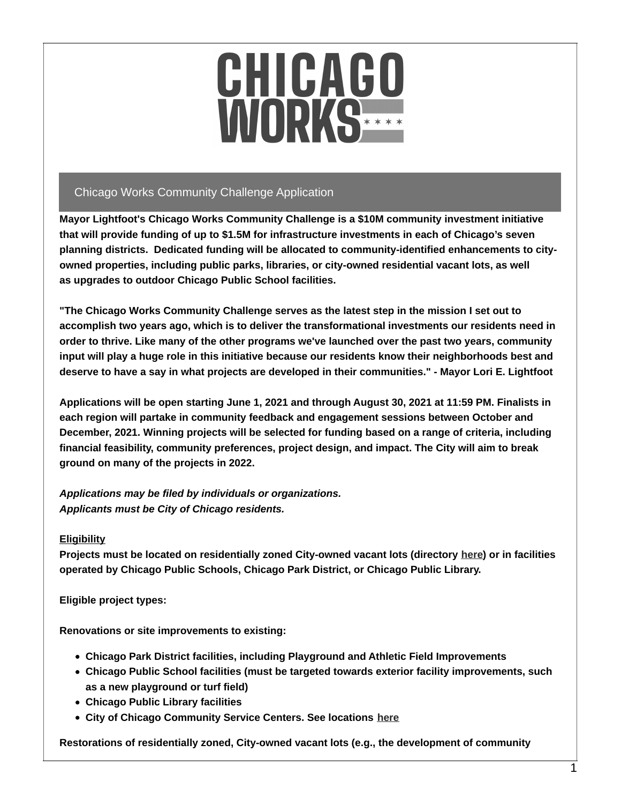

## Chicago Works Community Challenge Application

**Mayor Lightfoot's Chicago Works Community Challenge is a \$10M community investment initiative that will provide funding of up to \$1.5M for infrastructure investments in each of Chicago's seven planning districts. Dedicated funding will be allocated to community-identified enhancements to cityowned properties, including public parks, libraries, or city-owned residential vacant lots, as well as upgrades to outdoor Chicago Public School facilities.**

**"The Chicago Works Community Challenge serves as the latest step in the mission I set out to accomplish two years ago, which is to deliver the transformational investments our residents need in order to thrive. Like many of the other programs we've launched over the past two years, community input will play a huge role in this initiative because our residents know their neighborhoods best and** deserve to have a say in what projects are developed in their communities." - Mayor Lori E. Lightfoot

Applications will be open starting June 1, 2021 and through August 30, 2021 at 11:59 PM. Finalists in **each region will partake in community feedback and engagement sessions between October and December, 2021. Winning projects will be selected for funding based on a range of criteria, including financial feasibility, community preferences, project design, and impact. The City will aim to break ground on many of the projects in 2022.**

*Applications may be filed by individuals or organizations. Applicants must be City of Chicago residents.*

### **Eligibility**

**Projects must be located on residentially zoned City-owned vacant lots (directory [here](https://data.cityofchicago.org/Community-Economic-Development/City-Owned-Land-Inventory-Map/y5ck-7s96)) or in facilities operated by Chicago Public Schools, Chicago Park District, or Chicago Public Library.**

**Eligible project types:**

**Renovations or site improvements to existing:**

- **Chicago Park District facilities, including Playground and Athletic Field Improvements**
- **Chicago Public School facilities (must be targeted towards exterior facility improvements, such as a new playground or turf field)**
- **Chicago Public Library facilities**
- **City of Chicago Community Service Centers. See locations [here](https://www.chicago.gov/city/en/depts/fss/provdrs/serv/svcs/community_servicecenterlocations.html)**

**Restorations of residentially zoned, City-owned vacant lots (e.g., the development of community**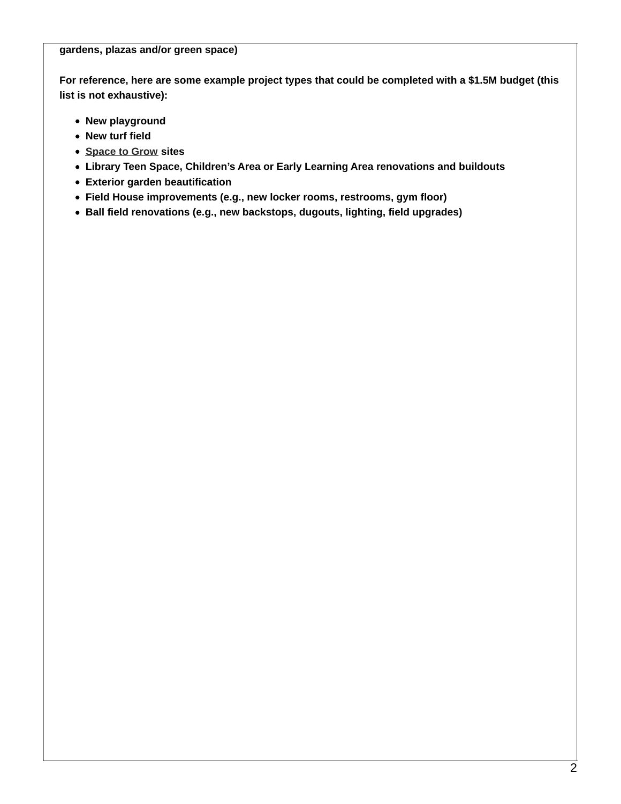**gardens, plazas and/or green space)**

**For reference, here are some example project types that could be completed with a \$1.5M budget (this list is not exhaustive):**

- **New playground**
- **New turf field**
- **[Space](https://protect2.fireeye.com/v1/url?k=eee77371-b17c4a50-eee7a719-86ea443be490-8238aa3246963a02&q=1&e=bf0a07fa-d984-4f61-9986-942fef31228d&u=https%253A%252F%252Fwww.spacetogrowchicago.org%252F) to Grow sites**
- **Library Teen Space, Children's Area or Early Learning Area renovations and buildouts**
- **Exterior garden beautification**
- **Field House improvements (e.g., new locker rooms, restrooms, gym floor)**
- **Ball field renovations (e.g., new backstops, dugouts, lighting, field upgrades)**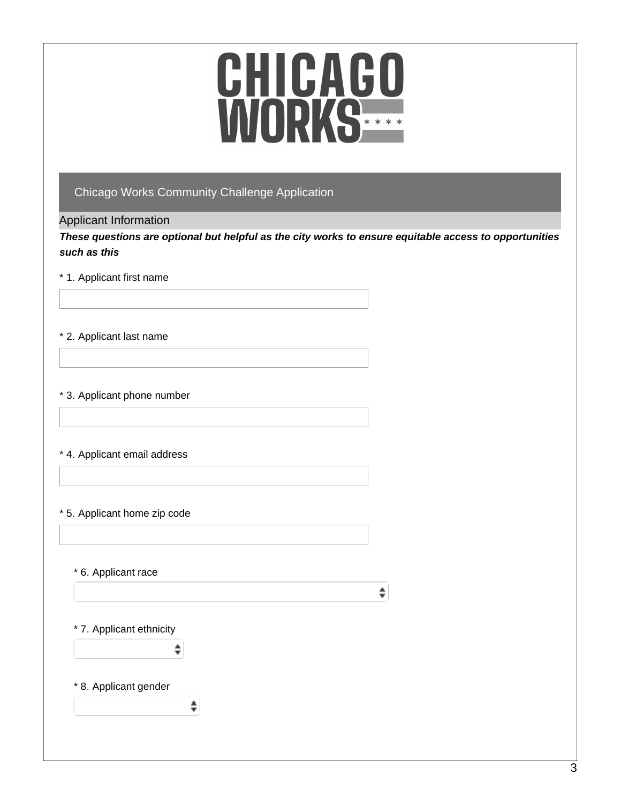## Chicago Works Community Challenge Application

### Applicant Information

*These questions are optional but helpful as the city works to ensure equitable access to opportunities such as this*

### \* 1. Applicant first name

#### \* 2. Applicant last name

#### \* 3. Applicant phone number

#### \* 4. Applicant email address

### \* 5. Applicant home zip code

\* 6. Applicant race

 $\hat{\mathbf{z}}$ 

#### \* 7. Applicant ethnicity

÷

♦

### \* 8. Applicant gender

3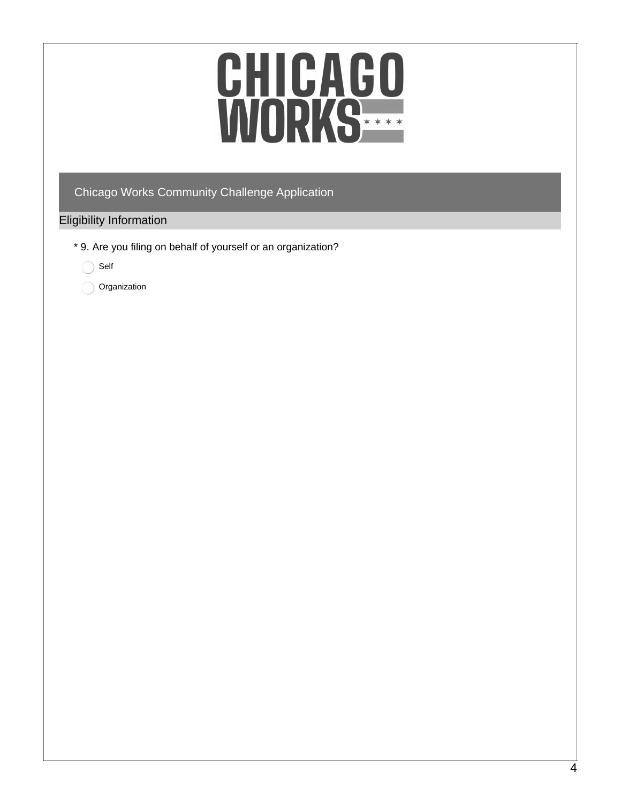## Chicago Works Community Challenge Application

### Eligibility Information

\* 9. Are you filing on behalf of yourself or an organization?

Self

Organization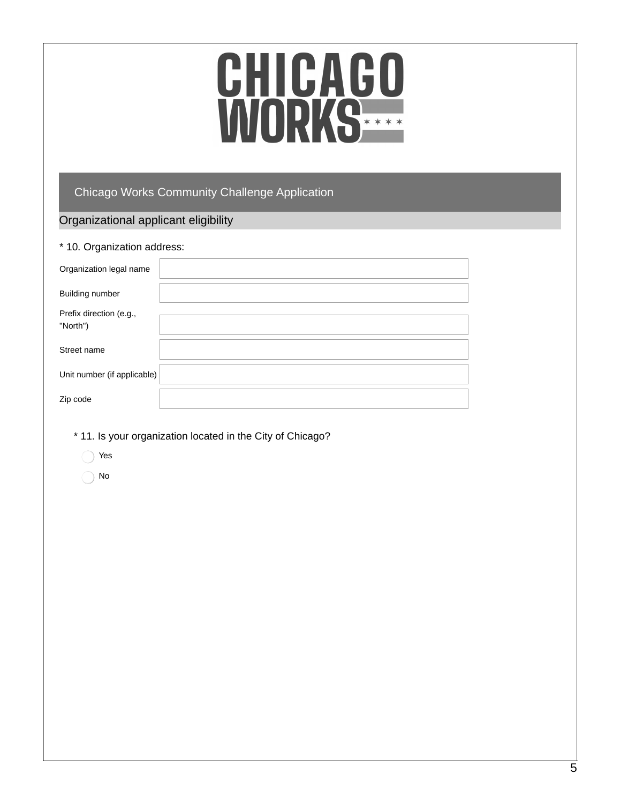# CHICAGO<br>WORKS

## Chicago Works Community Challenge Application

## Organizational applicant eligibility

| * 10. Organization address: |  |  |
|-----------------------------|--|--|
| Organization legal name     |  |  |
| Building number             |  |  |
| Prefix direction (e.g.,     |  |  |
| "North")                    |  |  |
|                             |  |  |
| Street name                 |  |  |
|                             |  |  |
| Unit number (if applicable) |  |  |
| Zip code                    |  |  |
|                             |  |  |

- \* 11. Is your organization located in the City of Chicago?
	- Yes
	- No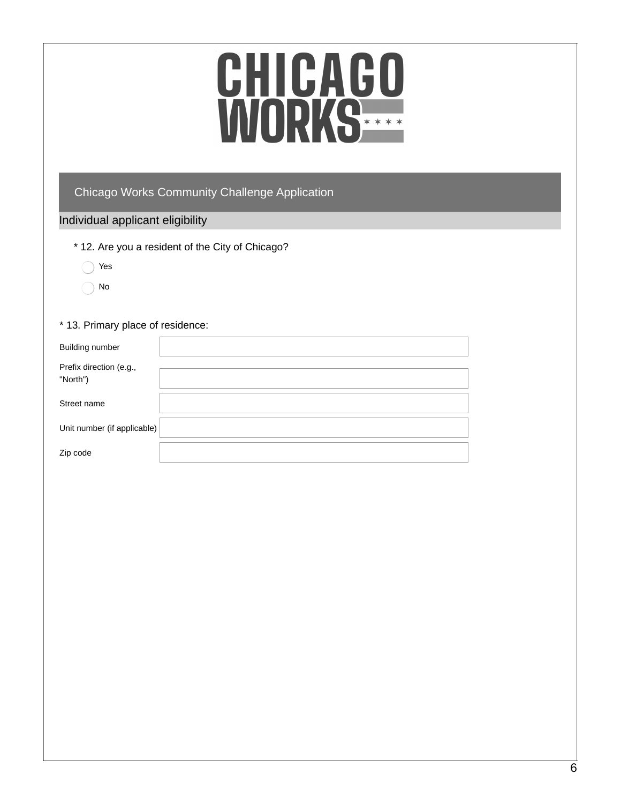# CHICAGO<br>WORKS

## Chicago Works Community Challenge Application

## Individual applicant eligibility

- \* 12. Are you a resident of the City of Chicago?
	- Yes ∩
	- No

#### \* 13. Primary place of residence:

| <b>Building number</b>              |  |
|-------------------------------------|--|
| Prefix direction (e.g.,<br>"North") |  |
| Street name                         |  |
| Unit number (if applicable)         |  |
| Zip code                            |  |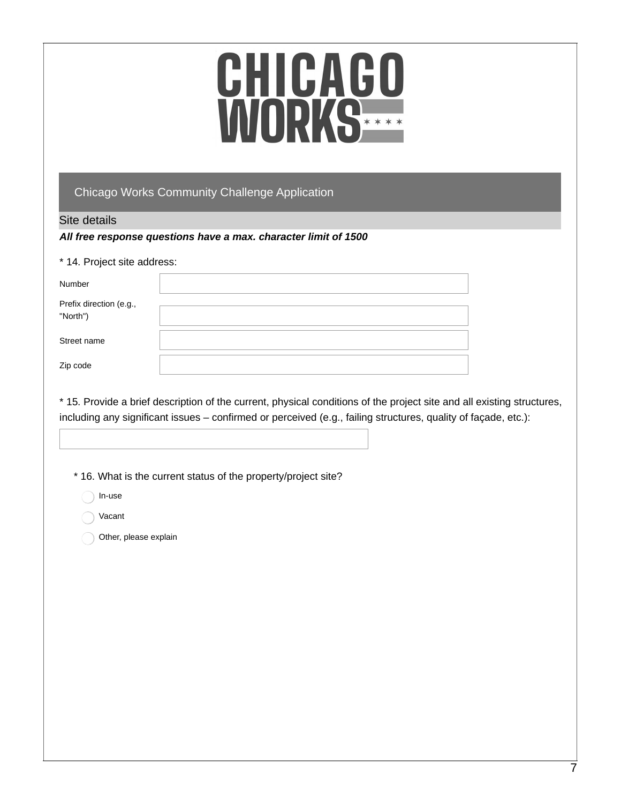## Chicago Works Community Challenge Application

#### Site details

#### *All free response questions have a max. character limit of 1500*

#### \* 14. Project site address:

| Number                              |  |
|-------------------------------------|--|
| Prefix direction (e.g.,<br>"North") |  |
| Street name                         |  |
| Zip code                            |  |

\* 15. Provide a brief description of the current, physical conditions of the project site and all existing structures, including any significant issues – confirmed or perceived (e.g., failing structures, quality of façade, etc.):

\* 16. What is the current status of the property/project site?

In-use

Vacant

Other, please explain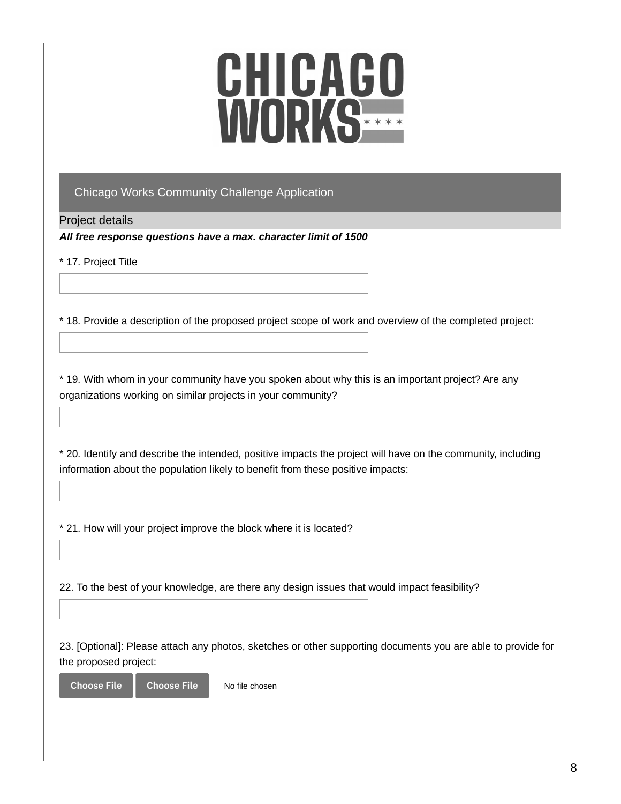## Chicago Works Community Challenge Application

Project details

*All free response questions have a max. character limit of 1500*

\* 17. Project Title

\* 18. Provide a description of the proposed project scope of work and overview of the completed project:

\* 19. With whom in your community have you spoken about why this is an important project? Are any organizations working on similar projects in your community?

\* 20. Identify and describe the intended, positive impacts the project will have on the community, including information about the population likely to benefit from these positive impacts:

\* 21. How will your project improve the block where it is located?

22. To the best of your knowledge, are there any design issues that would impact feasibility?

23. [Optional]: Please attach any photos, sketches or other supporting documents you are able to provide for the proposed project:

Choose File Choose File

No file chosen